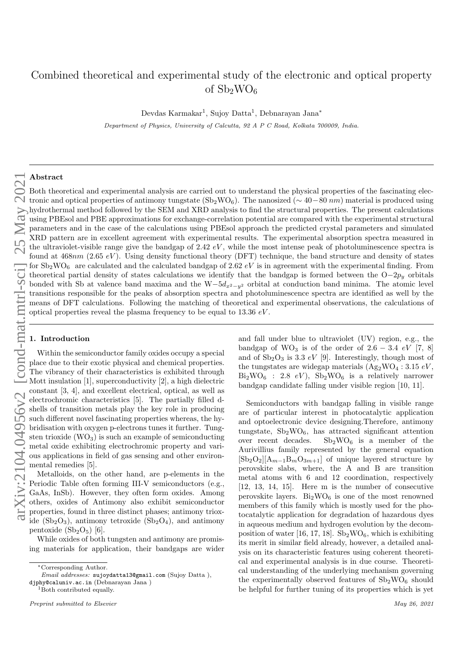# Combined theoretical and experimental study of the electronic and optical property of  $Sb_2WO_6$

Devdas Karmakar<sup>1</sup>, Sujoy Datta<sup>1</sup>, Debnarayan Jana<sup>\*</sup>

*Department of Physics, University of Calcutta, 92 A P C Road, Kolkata 700009, India.*

# Abstract

Both theoretical and experimental analysis are carried out to understand the physical properties of the fascinating electronic and optical properties of antimony tungstate  $(Sb_2WO_6)$ . The nanosized ( $\sim$  40−80 nm) material is produced using hydrothermal method followed by the SEM and XRD analysis to find the structural properties. The present calculations using PBEsol and PBE approximations for exchange-correlation potential are compared with the experimental structural parameters and in the case of the calculations using PBEsol approach the predicted crystal parameters and simulated XRD pattern are in excellent agreement with experimental results. The experimental absorption spectra measured in the ultraviolet-visible range give the bandgap of 2.42  $eV$ , while the most intense peak of photoluminescence spectra is found at  $468nm$  (2.65 eV). Using density functional theory (DFT) technique, the band structure and density of states for  $Sb_2WO_6$  are calculated and the calculated bandgap of 2.62 eV is in agreement with the experimental finding. From theoretical partial density of states calculations we identify that the bandgap is formed between the  $O-2p_y$  orbitals bonded with Sb at valence band maxima and the W $-5d_{x^2-y^2}$  orbital at conduction band minima. The atomic level transitions responsible for the peaks of absorption spectra and photoluminescence spectra are identified as well by the means of DFT calculations. Following the matching of theoretical and experimental observations, the calculations of optical properties reveal the plasma frequency to be equal to  $13.36\ eV$ .

# 1. Introduction

Within the semiconductor family oxides occupy a special place due to their exotic physical and chemical properties. The vibrancy of their characteristics is exhibited through Mott insulation [1], superconductivity [2], a high dielectric constant [3, 4], and excellent electrical, optical, as well as electrochromic characteristics [5]. The partially filled dshells of transition metals play the key role in producing such different novel fascinating properties whereas, the hybridisation with oxygen p-electrons tunes it further. Tungsten trioxide  $(WO_3)$  is such an example of semiconducting metal oxide exhibiting electrochromic property and various applications in field of gas sensing and other environmental remedies [5].

Metalloids, on the other hand, are p-elements in the Periodic Table often forming III-V semiconductors (e.g., GaAs, InSb). However, they often form oxides. Among others, oxides of Antimony also exhibit semiconductor properties, found in three distinct phases; antimony trioxide  $(Sb<sub>2</sub>O<sub>3</sub>)$ , antimony tetroxide  $(Sb<sub>2</sub>O<sub>4</sub>)$ , and antimony pentoxide  $(Sb<sub>2</sub>O<sub>5</sub>)$  [6].

While oxides of both tungsten and antimony are promising materials for application, their bandgaps are wider

<sup>1</sup>Both contributed equally.

and fall under blue to ultraviolet (UV) region, e.g., the bandgap of WO<sub>3</sub> is of the order of  $2.6 - 3.4$  eV [7, 8] and of  $Sb_2O_3$  is 3.3 eV [9]. Interestingly, though most of the tungstates are widegap materials  $(Ag_2WO_4 : 3.15 eV,$  $Bi<sub>2</sub>WO<sub>6</sub>$ : 2.8  $eV$ ),  $Sb<sub>2</sub>WO<sub>6</sub>$  is a relatively narrower bandgap candidate falling under visible region [10, 11].

Semiconductors with bandgap falling in visible range are of particular interest in photocatalytic application and optoelectronic device designing.Therefore, antimony tungstate, Sb2WO6, has attracted significant attention over recent decades.  $Sb_2WO_6$  is a member of the Aurivillius family represented by the general equation  $[Sb_2O_2][A_{m-1}B_mO_{3m+1}]$  of unique layered structure by perovskite slabs, where, the A and B are transition metal atoms with 6 and 12 coordination, respectively [12, 13, 14, 15]. Here m is the number of consecutive perovskite layers.  $Bi<sub>2</sub>WO<sub>6</sub>$  is one of the most renowned members of this family which is mostly used for the photocatalytic application for degradation of hazardous dyes in aqueous medium and hydrogen evolution by the decomposition of water [16, 17, 18].  $Sb_2WO_6$ , which is exhibiting its merit in similar field already, however, a detailed analysis on its characteristic features using coherent theoretical and experimental analysis is in due course. Theoretical understanding of the underlying mechanism governing the experimentally observed features of  $Sb_2WO_6$  should be helpful for further tuning of its properties which is yet

<sup>∗</sup>Corresponding Author.

*Email addresses:* sujoydatta13@gmail.com (Sujoy Datta ), djphy@caluniv.ac.in (Debnarayan Jana )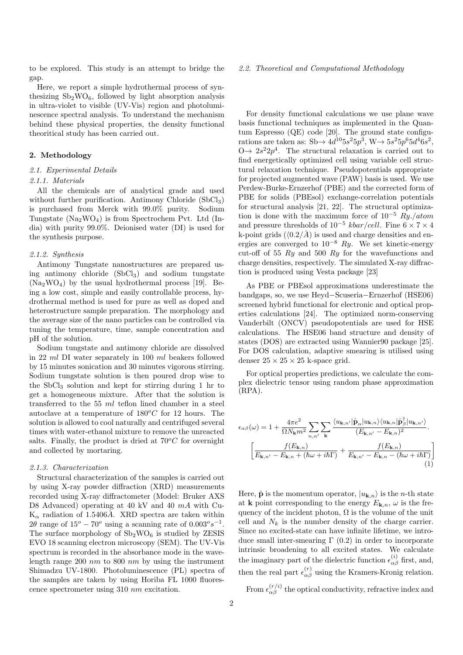to be explored. This study is an attempt to bridge the gap.

Here, we report a simple hydrothermal process of synthesizing  $Sb_2WO_6$ , followed by light absorption analysis in ultra-violet to visible (UV-Vis) region and photoluminescence spectral analysis. To understand the mechanism behind these physical properties, the density functional theoritical study has been carried out.

# 2. Methodology

# 2.1. Experimental Details

#### 2.1.1. Materials

All the chemicals are of analytical grade and used without further purification. Antimony Chloride  $(SbCl<sub>3</sub>)$ is purchased from Merck with 99.0% purity. Sodium Tungstate  $(Na_2WO_4)$  is from Spectrochem Pvt. Ltd (India) with purity 99.0%. Deionised water (DI) is used for the synthesis purpose.

## 2.1.2. Synthesis

Antimony Tungstate nanostructures are prepared using antimony chloride (SbCl3) and sodium tungstate (Na2WO4) by the usual hydrothermal process [19]. Being a low cost, simple and easily controllable process, hydrothermal method is used for pure as well as doped and heterostructure sample preparation. The morphology and the average size of the nano particles can be controlled via tuning the temperature, time, sample concentration and pH of the solution.

Sodium tungstate and antimony chloride are dissolved in 22 ml DI water separately in 100 ml beakers followed by 15 minutes sonication and 30 minutes vigorous stirring. Sodium tungstate solution is then poured drop wise to the  $SbCl<sub>3</sub>$  solution and kept for stirring during 1 hr to get a homogeneous mixture. After that the solution is transferred to the  $55$  ml teflon lined chamber in a steel autoclave at a temperature of  $180^oC$  for 12 hours. The solution is allowed to cool naturally and centrifuged several times with water-ethanol mixture to remove the unreacted salts. Finally, the product is dried at  $70^{\circ}$ C for overnight and collected by mortaring.

# 2.1.3. Characterization

Structural characterization of the samples is carried out by using X-ray powder diffraction (XRD) measurements recorded using X-ray diffractometer (Model: Bruker AXS D8 Advanced) operating at 40 kV and 40 mA with Cu- $K_{\alpha}$  radiation of 1.5406Å. XRD spectra are taken within  $2\theta$  range of  $15^{\circ} - 70^{\circ}$  using a scanning rate of  $0.003^{\circ} s^{-1}$ . The surface morphology of  $Sb_2WO_6$  is studied by ZESIS EVO 18 scanning electron microscopy (SEM). The UV-Vis spectrum is recorded in the absorbance mode in the wavelength range 200  $nm$  to 800  $nm$  by using the instrument Shimadzu UV-1800. Photoluminescence (PL) spectra of the samples are taken by using Horiba FL 1000 fluorescence spectrometer using 310 nm excitation.

#### 2.2. Theoretical and Computational Methodology

For density functional calculations we use plane wave basis functional techniques as implemented in the Quantum Espresso (QE) code [20]. The ground state configurations are taken as:  $\text{Sb} \rightarrow 4d^{10}5s^25p^3$ ,  $\text{W} \rightarrow 5s^25p^65d^46s^2$ ,  $0 \rightarrow 2s^2 2p^4$ . The structural relaxation is carried out to find energetically optimized cell using variable cell structural relaxation technique. Pseudopotentials appropriate for projected augmented wave (PAW) basis is used. We use Perdew-Burke-Ernzerhof (PBE) and the corrected form of PBE for solids (PBEsol) exchange-correlation potentials for structural analysis [21, 22]. The structural optimization is done with the maximum force of  $10^{-5}$  Ry./atom and pressure thresholds of  $10^{-5}$  kbar/cell. Fine  $6 \times 7 \times 4$ k-point grids  $(\langle 0.2/\mathring{A})$  is used and charge densities and energies are converged to  $10^{-8}$  Ry. We set kinetic-energy cut-off of 55  $Ry$  and 500  $Ry$  for the wavefunctions and charge densities, respectively. The simulated X-ray diffraction is produced using Vesta package [23]

As PBE or PBEsol approximations underestimate the bandgaps, so, we use Heyd−Scuseria−Ernzerhof (HSE06) screened hybrid functional for electronic and optical properties calculations [24]. The optimized norm-conserving Vanderbilt (ONCV) pseudopotentials are used for HSE calculations. The HSE06 band structure and density of states (DOS) are extracted using Wannier90 package [25]. For DOS calculation, adaptive smearing is utilised using denser  $25 \times 25 \times 25$  k-space grid.

For optical properties predictions, we calculate the complex dielectric tensor using random phase approximation (RPA).

$$
\epsilon_{\alpha\beta}(\omega) = 1 + \frac{4\pi e^2}{\Omega N_{\mathbf{k}} m^2} \sum_{n,n'} \sum_{\mathbf{k}} \frac{\langle u_{\mathbf{k},n'} | \hat{\mathbf{p}}_{\alpha} | u_{\mathbf{k},n} \rangle \langle u_{\mathbf{k},n} | \hat{\mathbf{p}}_{\beta}^{\dagger} | u_{\mathbf{k},n'} \rangle}{(E_{\mathbf{k},n'} - E_{\mathbf{k},n})^2}.
$$

$$
\left[ \frac{f(E_{\mathbf{k},n})}{E_{\mathbf{k},n'} - E_{\mathbf{k},n} + (\hbar\omega + i\hbar\Gamma)} + \frac{f(E_{\mathbf{k},n})}{E_{\mathbf{k},n'} - E_{\mathbf{k},n} - (\hbar\omega + i\hbar\Gamma)} \right]
$$
(1)

Here,  $\hat{\mathbf{p}}$  is the momentum operator,  $|u_{\mathbf{k},n}\rangle$  is the *n*-th state at k point corresponding to the energy  $E_{\mathbf{k},n}$ ,  $\omega$  is the frequency of the incident photon,  $\Omega$  is the volume of the unit cell and  $N_k$  is the number density of the charge carrier. Since no excited-state can have infinite lifetime, we introduce small inter-smearing  $\Gamma$  (0.2) in order to incorporate intrinsic broadening to all excited states. We calculate the imaginary part of the dielectric function  $\epsilon_{\alpha\beta}^{(i)}$  first, and, then the real part  $\epsilon_{\alpha\beta}^{(r)}$  using the Kramers-Kronig relation.

From  $\epsilon_{\alpha\beta}^{(r/i)}$  the optical conductivity, refractive index and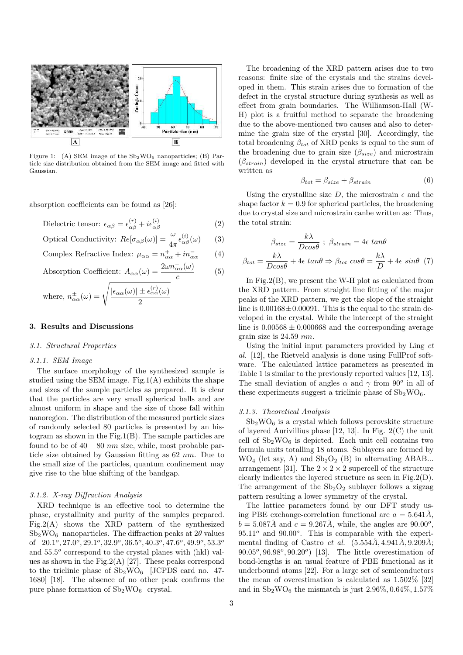

Figure 1: (A) SEM image of the  $Sb_2WO_6$  nanoparticles; (B) Particle size distribution obtained from the SEM image and fitted with Gaussian.

absorption coefficients can be found as [26]:

Dielectric tensor:  $\epsilon_{\alpha\beta} = \epsilon_{\alpha\beta}^{(r)} + i\epsilon_{\alpha\beta}^{(i)}$  $(2)$ 

Optical Conductivity: 
$$
Re[\sigma_{\alpha\beta}(\omega)] = \frac{\omega}{4\pi} \epsilon_{\alpha\beta}^{(i)}(\omega)
$$
 (3)

Complex Refractive Index: 
$$
\mu_{\alpha\alpha} = n_{\alpha\alpha}^+ + i n_{\alpha\alpha}^-
$$
 (4)

Absorption Coefficient: 
$$
A_{\alpha\alpha}(\omega) = \frac{2\omega n_{\alpha\alpha}^-(\omega)}{c}
$$
 (5)

where, 
$$
n_{\alpha\alpha}^{\pm}(\omega) = \sqrt{\frac{|\epsilon_{\alpha\alpha}(\omega)| \pm \epsilon_{\alpha\alpha}^{(r)}(\omega)}{2}}
$$

### 3. Results and Discussions

# 3.1. Structural Properties

# 3.1.1. SEM Image

The surface morphology of the synthesized sample is studied using the SEM image. Fig.1 $(A)$  exhibits the shape and sizes of the sample particles as prepared. It is clear that the particles are very small spherical balls and are almost uniform in shape and the size of those fall within nanoregion. The distribution of the measured particle sizes of randomly selected 80 particles is presented by an histogram as shown in the Fig.1(B). The sample particles are found to be of  $40 - 80$  nm size, while, most probable particle size obtained by Gaussian fitting as 62 nm. Due to the small size of the particles, quantum confinement may give rise to the blue shifting of the bandgap.

#### 3.1.2. X-ray Diffraction Analysis

XRD technique is an effective tool to determine the phase, crystallinity and purity of the samples prepared. Fig.2(A) shows the XRD pattern of the synthesized  $Sb<sub>2</sub>WO<sub>6</sub>$  nanoparticles. The diffraction peaks at  $2\theta$  values of  $20.1^{\circ}, 27.0^{\circ}, 29.1^{\circ}, 32.9^{\circ}, 36.5^{\circ}, 40.3^{\circ}, 47.6^{\circ}, 49.9^{\circ}, 53.3^{\circ}$ and  $55.5^{\circ}$  correspond to the crystal planes with (hkl) values as shown in the Fig.  $2(A)$  [27]. These peaks correspond to the triclinic phase of  $Sb_2WO_6$  [JCPDS card no. 47-1680] [18]. The absence of no other peak confirms the pure phase formation of  $\mathrm{Sb}_2\mathrm{WO}_6\;$  crystal.

The broadening of the XRD pattern arises due to two reasons: finite size of the crystals and the strains developed in them. This strain arises due to formation of the defect in the crystal structure during synthesis as well as effect from grain boundaries. The Williamson-Hall (W-H) plot is a fruitful method to separate the broadening due to the above-mentioned two causes and also to determine the grain size of the crystal [30]. Accordingly, the total broadening  $\beta_{tot}$  of XRD peaks is equal to the sum of the broadening due to grain size  $(\beta_{size})$  and microstrain  $(\beta_{strain})$  developed in the crystal structure that can be written as

$$
\beta_{tot} = \beta_{size} + \beta_{strain} \tag{6}
$$

Using the crystalline size D, the microstrain  $\epsilon$  and the shape factor  $k = 0.9$  for spherical particles, the broadening due to crystal size and microstrain canbe written as: Thus, the total strain:

$$
\beta_{size} = \frac{k\lambda}{Dcos\theta} \; ; \; \beta_{strain} = 4\epsilon \; tan\theta
$$
\n
$$
\beta_{tot} = \frac{k\lambda}{Dcos\theta} + 4\epsilon \; tan\theta \Rightarrow \beta_{tot} \; cos\theta = \frac{k\lambda}{D} + 4\epsilon \; sin\theta \; (7)
$$

In Fig.2(B), we present the W-H plot as calculated from the XRD pattern. From straight line fitting of the major peaks of the XRD pattern, we get the slope of the straight line is  $0.00168 \pm 0.00091$ . This is the equal to the strain developed in the crystal. While the intercept of the straight line is  $0.00568 \pm 0.000668$  and the corresponding average grain size is 24.59 nm.

Using the initial input parameters provided by Ling et al. [12], the Rietveld analysis is done using FullProf software. The calculated lattice parameters as presented in Table 1 is similar to the previously reported values [12, 13]. The small deviation of angles  $\alpha$  and  $\gamma$  from  $90^o$  in all of these experiments suggest a triclinic phase of  $Sb_2WO_6$ .

#### 3.1.3. Theoretical Analysis

 $Sb<sub>2</sub>WO<sub>6</sub>$  is a crystal which follows perovskite structure of layered Aurivillius phase [12, 13]. In Fig. 2(C) the unit cell of  $Sb_2WO_6$  is depicted. Each unit cell contains two formula units totalling 18 atoms. Sublayers are formed by  $WO_4$  (let say, A) and  $Sb_2O_2$  (B) in alternating ABAB... arrangement [31]. The  $2 \times 2 \times 2$  supercell of the structure clearly indicates the layered structure as seen in Fig.2(D). The arrangement of the  $Sb<sub>2</sub>O<sub>2</sub>$  sublayer follows a zigzag pattern resulting a lower symmetry of the crystal.

The lattice parameters found by our DFT study using PBE exchange-correlation functional are  $a = 5.641\AA$ ,  $b = 5.087\AA$  and  $c = 9.267\AA$ , while, the angles are  $90.00^{\circ}$ ,  $95.11<sup>o</sup>$  and  $90.00<sup>o</sup>$ . This is comparable with the experimental finding of Castro et al.  $(5.554\AA, 4.941\AA, 9.209\AA;$  $90.05^{\circ}, 96.98^{\circ}, 90.20^{\circ})$  [13]. The little overestimation of bond-lengths is an usual feature of PBE functional as it underbound atoms [22]. For a large set of semiconductors the mean of overestimation is calculated as 1.502% [32] and in  $Sb_2WO_6$  the mismatch is just 2.96%, 0.64%, 1.57%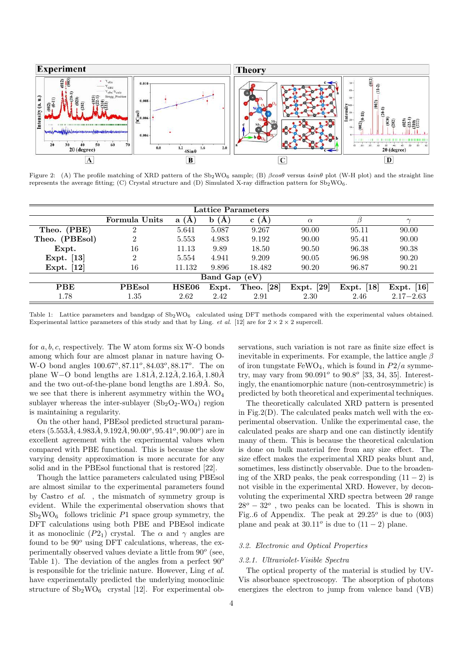

Figure 2: (A) The profile matching of XRD pattern of the  $Sb_2WO_6$  sample; (B)  $\beta cos\theta$  versus  $4sin\theta$  plot (W-H plot) and the straight line represents the average fitting; (C) Crystal structure and (D) Simulated X-ray diffraction pattern for  $Sb_2WO_6$ .

| Lattice Parameters |               |              |                    |                            |                            |                             |               |  |
|--------------------|---------------|--------------|--------------------|----------------------------|----------------------------|-----------------------------|---------------|--|
|                    | Formula Units | a<br>(A)     | $\mathbf{A}$<br>b. | c(A)                       | $\alpha$                   |                             | $\sim$        |  |
| Theo. (PBE)        |               | 5.641        | 5.087              | 9.267                      | 90.00                      | 95.11                       | 90.00         |  |
| Theo. (PBEsol)     | 2             | 5.553        | 4.983              | 9.192                      | 90.00                      | 95.41                       | 90.00         |  |
| Expt.              | 16            | 11.13        | 9.89               | 18.50                      | 90.50                      | 96.38                       | 90.38         |  |
| Expt. [13]         | ച             | 5.554        | 4.941              | 9.209                      | 90.05                      | 96.98                       | 90.20         |  |
| Expt. $[12]$       | 16            | 11.132       | 9.896              | 18.482                     | 90.20                      | 96.87                       | 90.21         |  |
| Band Gap (eV)      |               |              |                    |                            |                            |                             |               |  |
| <b>PBE</b>         | <b>PBEsol</b> | <b>HSE06</b> | Expt.              | $\left[28\right]$<br>Theo. | $\left[29\right]$<br>Expt. | $\lceil 18 \rceil$<br>Expt. | Expt. $[16]$  |  |
| 1.78               | 1.35          | 2.62         | 2.42               | 2.91                       | 2.30                       | 2.46                        | $2.17 - 2.63$ |  |

Table 1: Lattice parameters and bandgap of  $Sb_2WO_6$  calculated using DFT methods compared with the experimental values obtained. Experimental lattice parameters of this study and that by Ling. *et al.* [12] are for  $2 \times 2 \times 2$  supercell.

for a, b, c, respectively. The W atom forms six W-O bonds among which four are almost planar in nature having O-W-O bond angles  $100.67^{\circ}, 87.11^{\circ}, 84.03^{\circ}, 88.17^{\circ}$ . The on plane W−O bond lengths are  $1.81\AA$ ,  $2.12\AA$ ,  $2.16\AA$ ,  $1.80\AA$ and the two out-of-the-plane bond lengths are  $1.89\AA$ . So, we see that there is inherent asymmetry within the  $WO_4$ sublayer whereas the inter-sublayer  $(Sb<sub>2</sub>O<sub>2</sub>-WO<sub>4</sub>)$  region is maintaining a regularity.

On the other hand, PBEsol predicted structural param- $\text{eters } (5.553\AA, 4.983\AA, 9.192\AA, 90.00^o, 95.41^o, 90.00^o) \text{ are in }$ excellent agreement with the experimental values when compared with PBE functional. This is because the slow varying density approximation is more accurate for any solid and in the PBEsol functional that is restored [22].

Though the lattice parameters calculated using PBEsol are almost similar to the experimental parameters found by Castro et al. , the mismatch of symmetry group is evident. While the experimental observation shows that  $Sb<sub>2</sub>WO<sub>6</sub>$  follows triclinic P1 space group symmetry, the DFT calculations using both PBE and PBEsol indicate it as monoclinic  $(P2_1)$  crystal. The  $\alpha$  and  $\gamma$  angles are found to be  $90^o$  using DFT calculations, whereas, the experimentally observed values deviate a little from  $90^o$  (see, Table 1). The deviation of the angles from a perfect  $90^{\circ}$ is responsible for the triclinic nature. However, Ling et al. have experimentally predicted the underlying monoclinic structure of  $Sb_2WO_6$  crystal [12]. For experimental observations, such variation is not rare as finite size effect is inevitable in experiments. For example, the lattice angle  $\beta$ of iron tungstate FeWO<sub>4</sub>, which is found in  $P2/a$  symmetry, may vary from  $90.091^o$  to  $90.8^o$  [33, 34, 35]. Interestingly, the enantiomorphic nature (non-centrosymmetric) is predicted by both theoretical and experimental techniques.

The theoretically calculated XRD pattern is presented in Fig.2(D). The calculated peaks match well with the experimental observation. Unlike the experimental case, the calculated peaks are sharp and one can distinctly identify many of them. This is because the theoretical calculation is done on bulk material free from any size effect. The size effect makes the experimental XRD peaks blunt and, sometimes, less distinctly observable. Due to the broadening of the XRD peaks, the peak corresponding  $(11 - 2)$  is not visible in the experimental XRD. However, by deconvoluting the experimental XRD spectra between  $2\theta$  range  $28^o - 32^o$ , two peaks can be located. This is shown in Fig..6 of Appendix. The peak at  $29.25^{\circ}$  is due to  $(003)$ plane and peak at  $30.11^{\circ}$  is due to  $(11 - 2)$  plane.

# 3.2. Electronic and Optical Properties

# 3.2.1. Ultraviolet-Visible Spectra

The optical property of the material is studied by UV-Vis absorbance spectroscopy. The absorption of photons energizes the electron to jump from valence band (VB)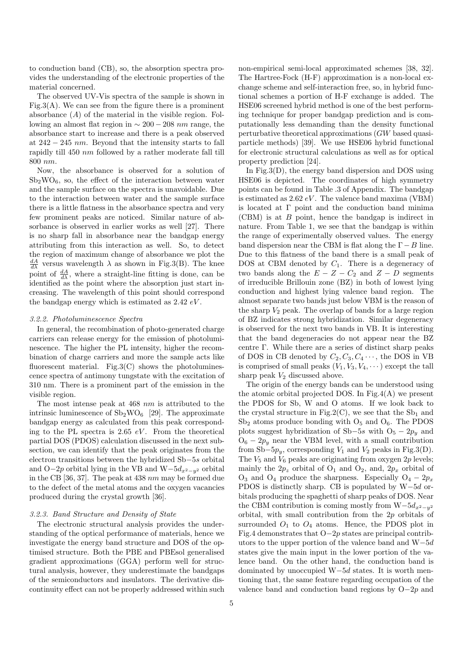to conduction band (CB), so, the absorption spectra provides the understanding of the electronic properties of the material concerned.

The observed UV-Vis spectra of the sample is shown in Fig.3(A). We can see from the figure there is a prominent absorbance  $(A)$  of the material in the visible region. Following an almost flat region in  $\sim 200 - 208$  nm range, the absorbance start to increase and there is a peak observed at  $242 - 245$  nm. Beyond that the intensity starts to fall rapidly till 450 nm followed by a rather moderate fall till 800 nm.

Now, the absorbance is observed for a solution of  $Sb<sub>2</sub>WO<sub>6</sub>$ , so, the effect of the interaction between water and the sample surface on the spectra is unavoidable. Due to the interaction between water and the sample surface there is a little flatness in the absorbance spectra and very few prominent peaks are noticed. Similar nature of absorbance is observed in earlier works as well [27]. There is no sharp fall in absorbance near the bandgap energy attributing from this interaction as well. So, to detect the region of maximum change of absorbance we plot the  $\frac{dA}{d\lambda}$  versus wavelength  $\lambda$  as shown in Fig.3(B). The knee point of  $\frac{dA}{d\lambda}$ , where a straight-line fitting is done, can be identified as the point where the absorption just start increasing. The wavelength of this point should correspond the bandgap energy which is estimated as  $2.42 \, eV$ .

#### 3.2.2. Photoluminescence Spectra

In general, the recombination of photo-generated charge carriers can release energy for the emission of photoluminescence. The higher the PL intensity, higher the recombination of charge carriers and more the sample acts like fluorescent material. Fig.3 $(C)$  shows the photoluminescence spectra of antimony tungstate with the excitation of 310 nm. There is a prominent part of the emission in the visible region.

The most intense peak at 468 nm is attributed to the intrinsic luminescence of  $Sb_2WO_6$  [29]. The approximate bandgap energy as calculated from this peak corresponding to the PL spectra is 2.65  $eV$ . From the theoretical partial DOS (PDOS) calculation discussed in the next subsection, we can identify that the peak originates from the electron transitions between the hybridized Sb−5s orbital and O−2p orbital lying in the VB and  $W-5d_{x^2-y^2}$  orbital in the CB [36, 37]. The peak at  $438 \, nm$  may be formed due to the defect of the metal atoms and the oxygen vacancies produced during the crystal growth [36].

# 3.2.3. Band Structure and Density of State

The electronic structural analysis provides the understanding of the optical performance of materials, hence we investigate the energy band structure and DOS of the optimised structure. Both the PBE and PBEsol generalised gradient approximations (GGA) perform well for structural analysis, however, they underestimate the bandgaps of the semiconductors and insulators. The derivative discontinuity effect can not be properly addressed within such

non-empirical semi-local approximated schemes [38, 32]. The Hartree-Fock (H-F) approximation is a non-local exchange scheme and self-interaction free, so, in hybrid functional schemes a portion of H-F exchange is added. The HSE06 screened hybrid method is one of the best performing technique for proper bandgap prediction and is computationally less demanding than the density functional perturbative theoretical approximations (GW based quasiparticle methods) [39]. We use HSE06 hybrid functional for electronic structural calculations as well as for optical property prediction [24].

In Fig.3(D), the energy band dispersion and DOS using HSE06 is depicted. The coordinates of high symmetry points can be found in Table .3 of Appendix. The bandgap is estimated as  $2.62 \, eV$ . The valence band maxima (VBM) is located at Γ point and the conduction band minima (CBM) is at B point, hence the bandgap is indirect in nature. From Table 1, we see that the bandgap is within the range of experimentally observed values. The energy band dispersion near the CBM is flat along the  $\Gamma - B$  line. Due to this flatness of the band there is a small peak of DOS at CBM denoted by  $C_1$ . There is a degeneracy of two bands along the  $E - Z - C_2$  and  $Z - D$  segments of irreducible Brillouin zone (BZ) in both of lowest lying conduction and highest lying valence band region. The almost separate two bands just below VBM is the reason of the sharp  $V_2$  peak. The overlap of bands for a large region of BZ indicates strong hybridization. Similar degeneracy is observed for the next two bands in VB. It is interesting that the band degeneracies do not appear near the BZ centre Γ. While there are a series of distinct sharp peaks of DOS in CB denoted by  $C_2, C_3, C_4 \cdots$ , the DOS in VB is comprised of small peaks  $(V_1, V_3, V_4, \dots)$  except the tall sharp peak  $V_2$  discussed above.

The origin of the energy bands can be understood using the atomic orbital projected DOS. In Fig.4(A) we present the PDOS for Sb, W and O atoms. If we look back to the crystal structure in Fig.2(C), we see that the  $Sb_1$  and  $Sb<sub>2</sub>$  atoms produce bonding with  $O<sub>5</sub>$  and  $O<sub>6</sub>$ . The PDOS plots suggest hybridization of Sb−5s with  $O<sub>5</sub> - 2p<sub>y</sub>$  and  $O_6 - 2p_y$  near the VBM level, with a small contribution from Sb−5 $p_y$ , corresponding  $V_1$  and  $V_2$  peaks in Fig.3(D). The  $V_5$  and  $V_6$  peaks are originating from oxygen  $2p$  levels; mainly the  $2p_z$  orbital of  $O_1$  and  $O_2$ , and,  $2p_x$  orbital of  $O_3$  and  $O_4$  produce the sharpness. Especially  $O_4 - 2p_x$ PDOS is distinctly sharp. CB is populated by W−5d orbitals producing the spaghetti of sharp peaks of DOS. Near the CBM contribution is coming mostly from  $W-5d_{x^2-y^2}$ orbital, with small contribution from the 2p orbitals of surrounded  $O_1$  to  $O_4$  atoms. Hence, the PDOS plot in Fig.4 demonstrates that O−2p states are principal contributors to the upper portion of the valence band and W−5d states give the main input in the lower portion of the valence band. On the other hand, the conduction band is dominated by unoccupied W−5d states. It is worth mentioning that, the same feature regarding occupation of the valence band and conduction band regions by O−2p and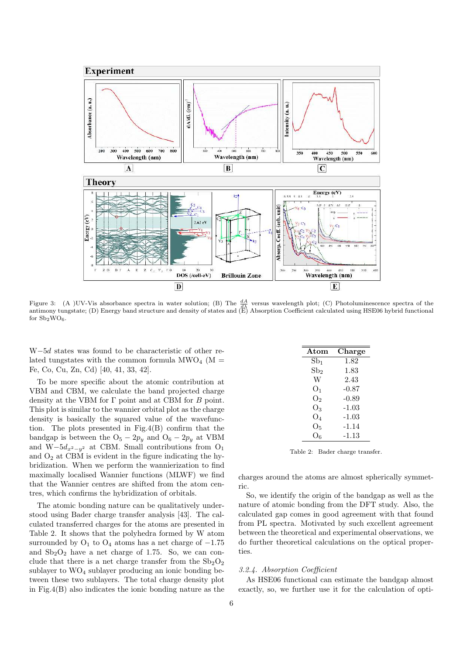

Figure 3: (A )UV-Vis absorbance spectra in water solution; (B) The  $\frac{dA}{d\lambda}$  versus wavelength plot; (C) Photoluminescence spectra of the antimony tungstate; (D) Energy band structure and density of states and (E) Abso for  $Sb_2WO_6$ .

W−5d states was found to be characteristic of other related tungstates with the common formula  $\text{MWO}_4$  (M = Fe, Co, Cu, Zn, Cd) [40, 41, 33, 42].

To be more specific about the atomic contribution at VBM and CBM, we calculate the band projected charge density at the VBM for Γ point and at CBM for B point. This plot is similar to the wannier orbital plot as the charge density is basically the squared value of the wavefunction. The plots presented in Fig.4(B) confirm that the bandgap is between the  $O_5 - 2p_y$  and  $O_6 - 2p_y$  at VBM and W−5 $d_{x^2-y^2}$  at CBM. Small contributions from O<sub>1</sub> and  $\mathrm{O}_2$  at CBM is evident in the figure indicating the hybridization. When we perform the wannierization to find maximally localised Wannier functions (MLWF) we find that the Wannier centres are shifted from the atom centres, which confirms the hybridization of orbitals.

The atomic bonding nature can be qualitatively understood using Bader charge transfer analysis [43]. The calculated transferred charges for the atoms are presented in Table 2. It shows that the polyhedra formed by W atom surrounded by  $O_1$  to  $O_4$  atoms has a net charge of  $-1.75$ and  $Sb_2O_2$  have a net charge of 1.75. So, we can conclude that there is a net charge transfer from the  $Sb<sub>2</sub>O<sub>2</sub>$ sublayer to  $WO<sub>4</sub>$  sublayer producing an ionic bonding between these two sublayers. The total charge density plot in Fig.4(B) also indicates the ionic bonding nature as the

| Atom                    | Charge  |
|-------------------------|---------|
| $Sb_1$                  | 1.82    |
| $\mathrm{Sb}_2$         | 1.83    |
| W                       | 2.43    |
| O <sub>1</sub>          | $-0.87$ |
| O2                      | $-0.89$ |
| O3                      | $-1.03$ |
| $\mathrm{O}_4$          | $-1.03$ |
| Ο5                      | -1.14   |
| $\overline{\partial}_6$ | -1.13   |

Table 2: Bader charge transfer.

charges around the atoms are almost spherically symmetric.

So, we identify the origin of the bandgap as well as the nature of atomic bonding from the DFT study. Also, the calculated gap comes in good agreement with that found from PL spectra. Motivated by such excellent agreement between the theoretical and experimental observations, we do further theoretical calculations on the optical properties.

#### 3.2.4. Absorption Coefficient

As HSE06 functional can estimate the bandgap almost exactly, so, we further use it for the calculation of opti-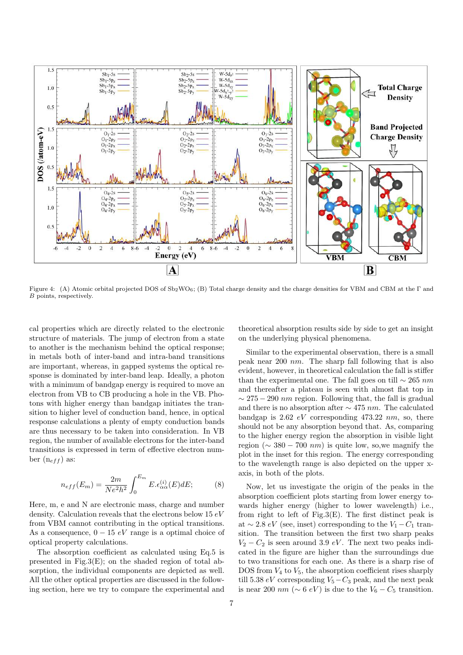

Figure 4: (A) Atomic orbital projected DOS of Sb2WO6; (B) Total charge density and the charge densities for VBM and CBM at the Γ and B points, respectively.

cal properties which are directly related to the electronic structure of materials. The jump of electron from a state to another is the mechanism behind the optical response; in metals both of inter-band and intra-band transitions are important, whereas, in gapped systems the optical response is dominated by inter-band leap. Ideally, a photon with a minimum of bandgap energy is required to move an electron from VB to CB producing a hole in the VB. Photons with higher energy than bandgap initiates the transition to higher level of conduction band, hence, in optical response calculations a plenty of empty conduction bands are thus necessary to be taken into consideration. In VB region, the number of available electrons for the inter-band transitions is expressed in term of effective electron number  $(n_{eff})$  as:

$$
n_{eff}(E_m) = \frac{2m}{Ne^2h^2} \int_0^{E_m} E. \epsilon_{\alpha\alpha}^{(i)}(E) dE; \tag{8}
$$

Here, m, e and N are electronic mass, charge and number density. Calculation reveals that the electrons below  $15 eV$ from VBM cannot contributing in the optical transitions. As a consequence,  $0 - 15 eV$  range is a optimal choice of optical property calculations.

The absorption coefficient as calculated using Eq.5 is presented in Fig.3(E); on the shaded region of total absorption, the individual components are depicted as well. All the other optical properties are discussed in the following section, here we try to compare the experimental and

theoretical absorption results side by side to get an insight on the underlying physical phenomena.

Similar to the experimental observation, there is a small peak near 200 nm. The sharp fall following that is also evident, however, in theoretical calculation the fall is stiffer than the experimental one. The fall goes on till  $\sim$  265 nm and thereafter a plateau is seen with almost flat top in  $\sim$  275 − 290 *nm* region. Following that, the fall is gradual and there is no absorption after  $\sim$  475 nm. The calculated bandgap is 2.62  $eV$  corresponding 473.22 nm, so, there should not be any absorption beyond that. As, comparing to the higher energy region the absorption in visible light region ( $\sim$  380 − 700 *nm*) is quite low, so, we magnify the plot in the inset for this region. The energy corresponding to the wavelength range is also depicted on the upper xaxis, in both of the plots.

Now, let us investigate the origin of the peaks in the absorption coefficient plots starting from lower energy towards higher energy (higher to lower wavelength) i.e., from right to left of Fig.3 $(E)$ . The first distinct peak is at  $\sim$  2.8 eV (see, inset) corresponding to the  $V_1 - C_1$  transition. The transition between the first two sharp peaks  $V_2 - C_2$  is seen around 3.9 eV. The next two peaks indicated in the figure are higher than the surroundings due to two transitions for each one. As there is a sharp rise of DOS from  $V_4$  to  $V_5$ , the absorption coefficient rises sharply till 5.38  $eV$  corresponding  $V_5-C_3$  peak, and the next peak is near 200 nm ( $\sim 6$  eV) is due to the  $V_6 - C_5$  transition.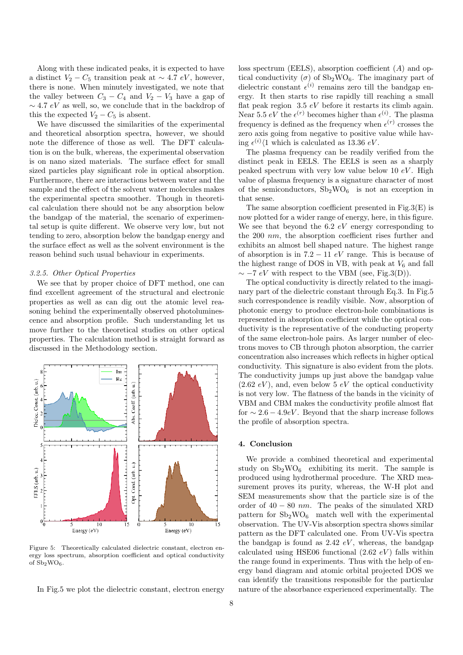Along with these indicated peaks, it is expected to have a distinct  $V_2 - C_5$  transition peak at ~ 4.7 eV, however, there is none. When minutely investigated, we note that the valley between  $C_3 - C_4$  and  $V_2 - V_3$  have a gap of  $\sim$  4.7 eV as well, so, we conclude that in the backdrop of this the expected  $V_2 - C_5$  is absent.

We have discussed the similarities of the experimental and theoretical absorption spectra, however, we should note the difference of those as well. The DFT calculation is on the bulk, whereas, the experimental observation is on nano sized materials. The surface effect for small sized particles play significant role in optical absorption. Furthermore, there are interactions between water and the sample and the effect of the solvent water molecules makes the experimental spectra smoother. Though in theoretical calculation there should not be any absorption below the bandgap of the material, the scenario of experimental setup is quite different. We observe very low, but not tending to zero, absorption below the bandgap energy and the surface effect as well as the solvent environment is the reason behind such usual behaviour in experiments.

#### 3.2.5. Other Optical Properties

We see that by proper choice of DFT method, one can find excellent agreement of the structural and electronic properties as well as can dig out the atomic level reasoning behind the experimentally observed photoluminescence and absorption profile. Such understanding let us move further to the theoretical studies on other optical properties. The calculation method is straight forward as discussed in the Methodology section.



Figure 5: Theoretically calculated dielectric constant, electron energy loss spectrum, absorption coefficient and optical conductivity of  $Sb_2WO_6$ .

In Fig.5 we plot the dielectric constant, electron energy

loss spectrum (EELS), absorption coefficient (A) and optical conductivity ( $\sigma$ ) of Sb<sub>2</sub>WO<sub>6</sub>. The imaginary part of dielectric constant  $\epsilon^{(i)}$  remains zero till the bandgap energy. It then starts to rise rapidly till reaching a small flat peak region  $3.5 eV$  before it restarts its climb again. Near 5.5  $eV$  the  $\epsilon^{(r)}$  becomes higher than  $\epsilon^{(i)}$ . The plasma frequency is defined as the frequency when  $\epsilon^{(r)}$  crosses the zero axis going from negative to positive value while having  $\epsilon^{(i)}$  /1 which is calculated as 13.36 eV.

The plasma frequency can be readily verified from the distinct peak in EELS. The EELS is seen as a sharply peaked spectrum with very low value below 10  $eV$ . High value of plasma frequency is a signature character of most of the semiconductors,  $Sb_2WO_6$  is not an exception in that sense.

The same absorption coefficient presented in Fig.3(E) is now plotted for a wider range of energy, here, in this figure. We see that beyond the 6.2  $eV$  energy corresponding to the 200 nm, the absorption coefficient rises further and exhibits an almost bell shaped nature. The highest range of absorption is in  $7.2 - 11$  eV range. This is because of the highest range of DOS in VB, with peak at  $V_6$  and fall  $\sim$  −7 eV with respect to the VBM (see, Fig.3(D)).

The optical conductivity is directly related to the imaginary part of the dielectric constant through Eq.3. In Fig.5 such correspondence is readily visible. Now, absorption of photonic energy to produce electron-hole combinations is represented in absorption coefficient while the optical conductivity is the representative of the conducting property of the same electron-hole pairs. As larger number of electrons moves to CB through photon absorption, the carrier concentration also increases which reflects in higher optical conductivity. This signature is also evident from the plots. The conductivity jumps up just above the bandgap value  $(2.62 \, eV)$ , and, even below 5  $eV$  the optical conductivity is not very low. The flatness of the bands in the vicinity of VBM and CBM makes the conductivity profile almost flat for  $\sim 2.6 - 4.9$ eV. Beyond that the sharp increase follows the profile of absorption spectra.

# 4. Conclusion

We provide a combined theoretical and experimental study on  $Sb_2WO_6$  exhibiting its merit. The sample is produced using hydrothermal procedure. The XRD measurement proves its purity, whereas, the W-H plot and SEM measurements show that the particle size is of the order of  $40 - 80$  nm. The peaks of the simulated XRD pattern for  $Sb_2WO_6$  match well with the experimental observation. The UV-Vis absorption spectra shows similar pattern as the DFT calculated one. From UV-Vis spectra the bandgap is found as  $2.42\,eV$ , whereas, the bandgap calculated using HSE06 functional  $(2.62 \text{ eV})$  falls within the range found in experiments. Thus with the help of energy band diagram and atomic orbital projected DOS we can identify the transitions responsible for the particular nature of the absorbance experienced experimentally. The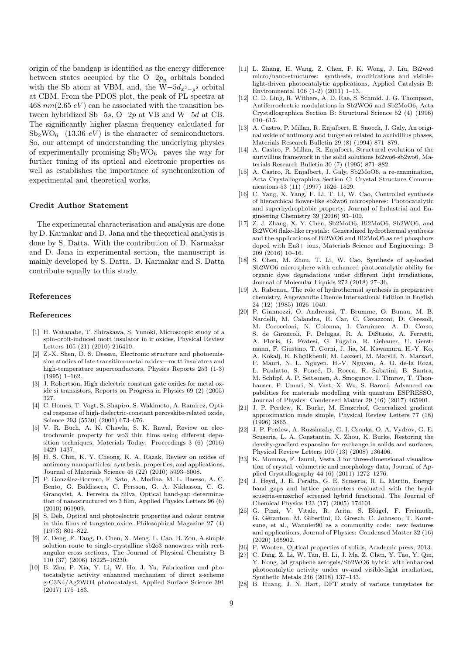origin of the bandgap is identified as the energy difference between states occupied by the  $O-2p_y$  orbitals bonded with the Sb atom at VBM, and, the W $-5d_{x^2-y^2}$  orbital at CBM. From the PDOS plot, the peak of PL spectra at 468  $nm(2.65 eV)$  can be associated with the transition between hybridized Sb−5s, O−2p at VB and W−5d at CB. The significantly higher plasma frequency calculated for  $Sb_2WO_6$  (13.36  $eV$ ) is the character of semiconductors. So, our attempt of understanding the underlying physics of experimentally promising  $Sb_2WO_6$  paves the way for further tuning of its optical and electronic properties as well as establishes the importance of synchronization of experimental and theoretical works.

### Credit Author Statement

The experimental characterisation and analysis are done by D. Karmakar and D. Jana and the theoretical analysis is done by S. Datta. With the contribution of D. Karmakar and D. Jana in experimental section, the manuscript is mainly developed by S. Datta. D. Karmakar and S. Datta contribute equally to this study.

# References

#### References

- [1] H. Watanabe, T. Shirakawa, S. Yunoki, Microscopic study of a spin-orbit-induced mott insulator in ir oxides, Physical Review Letters 105 (21) (2010) 216410.
- [2] Z.-X. Shen, D. S. Dessau, Electronic structure and photoemission studies of late transition-metal oxides—mott insulators and high-temperature superconductors, Physics Reports 253 (1-3) (1995) 1–162.
- [3] J. Robertson, High dielectric constant gate oxides for metal oxide si transistors, Reports on Progress in Physics 69 (2) (2005) 327.
- [4] C. Homes, T. Vogt, S. Shapiro, S. Wakimoto, A. Ramirez, Optical response of high-dielectric-constant perovskite-related oxide, Science 293 (5530) (2001) 673–676.
- [5] V. R. Buch, A. K. Chawla, S. K. Rawal, Review on electrochromic property for wo3 thin films using different deposition techniques, Materials Today: Proceedings 3 (6) (2016) 1429–1437.
- [6] H. S. Chin, K. Y. Cheong, K. A. Razak, Review on oxides of antimony nanoparticles: synthesis, properties, and applications, Journal of Materials Science 45 (22) (2010) 5993–6008.
- [7] P. González-Borrero, F. Sato, A. Medina, M. L. Baesso, A. C. Bento, G. Baldissera, C. Persson, G. A. Niklasson, C. G. Granqvist, A. Ferreira da Silva, Optical band-gap determination of nanostructured wo 3 film, Applied Physics Letters 96 (6) (2010) 061909.
- [8] S. Deb, Optical and photoelectric properties and colour centres in thin films of tungsten oxide, Philosophical Magazine 27 (4) (1973) 801–822.
- [9] Z. Deng, F. Tang, D. Chen, X. Meng, L. Cao, B. Zou, A simple solution route to single-crystalline sb2o3 nanowires with rectangular cross sections, The Journal of Physical Chemistry B 110 (37) (2006) 18225–18230.
- [10] B. Zhu, P. Xia, Y. Li, W. Ho, J. Yu, Fabrication and photocatalytic activity enhanced mechanism of direct z-scheme g-C3N4/Ag2WO4 photocatalyst, Applied Surface Science 391 (2017) 175–183.
- [11] L. Zhang, H. Wang, Z. Chen, P. K. Wong, J. Liu, Bi2wo6 micro/nano-structures: synthesis, modifications and visiblelight-driven photocatalytic applications, Applied Catalysis B: Environmental 106 (1-2) (2011) 1–13.
- [12] C. D. Ling, R. Withers, A. D. Rae, S. Schmid, J. G. Thompson, Antiferroelectric modulations in Sb2WO6 and Sb2MoO6, Acta Crystallographica Section B: Structural Science 52 (4) (1996) 610–615.
- [13] A. Castro, P. Millan, R. Enjalbert, E. Snoeck, J. Galy, An original oxide of antimony and tungsten related to aurivillius phases, Materials Research Bulletin 29 (8) (1994) 871–879.
- [14] A. Castro, P. Millan, R. Enjalbert, Structural evolution of the aurivillius framework in the solid solutions bi2wo6-sb2wo6, Materials Research Bulletin 30 (7) (1995) 871–882.
- [15] A. Castro, R. Enjalbert, J. Galy, Sb2MoO6, a re-examination, Acta Crystallographica Section C: Crystal Structure Communications 53 (11) (1997) 1526–1529.
- [16] C. Yang, X. Yang, F. Li, T. Li, W. Cao, Controlled synthesis of hierarchical flower-like sb2wo6 microspheres: Photocatalytic and superhydrophobic property, Journal of Industrial and Engineering Chemistry 39 (2016) 93–100.
- [17] Z. J. Zhang, X. Y. Chen, Sb2MoO6, Bi2MoO6, Sb2WO6, and Bi2WO6 flake-like crystals: Generalized hydrothermal synthesis and the applications of Bi2WO6 and Bi2MoO6 as red phosphors doped with Eu3+ ions, Materials Science and Engineering: B 209 (2016) 10–16.
- [18] S. Chen, M. Zhou, T. Li, W. Cao, Synthesis of ag-loaded Sb2WO6 microsphere with enhanced photocatalytic ability for organic dyes degradations under different light irradiations, Journal of Molecular Liquids 272 (2018) 27–36.
- [19] A. Rabenau, The role of hydrothermal synthesis in preparative chemistry, Angewandte Chemie International Edition in English 24 (12) (1985) 1026–1040.
- [20] P. Giannozzi, O. Andreussi, T. Brumme, O. Bunau, M. B. Nardelli, M. Calandra, R. Car, C. Cavazzoni, D. Ceresoli, M. Cococcioni, N. Colonna, I. Carnimeo, A. D. Corso, S. de Gironcoli, P. Delugas, R. A. DiStasio, A. Ferretti, A. Floris, G. Fratesi, G. Fugallo, R. Gebauer, U. Gerstmann, F. Giustino, T. Gorni, J. Jia, M. Kawamura, H.-Y. Ko, A. Kokalj, E. Küçükbenli, M. Lazzeri, M. Marsili, N. Marzari, F. Mauri, N. L. Nguyen, H.-V. Nguyen, A. O. de-la Roza, L. Paulatto, S. Poncé, D. Rocca, R. Sabatini, B. Santra, M. Schlipf, A. P. Seitsonen, A. Smogunov, I. Timrov, T. Thonhauser, P. Umari, N. Vast, X. Wu, S. Baroni, Advanced capabilities for materials modelling with quantum ESPRESSO, Journal of Physics: Condensed Matter 29 (46) (2017) 465901.
- [21] J. P. Perdew, K. Burke, M. Ernzerhof, Generalized gradient approximation made simple, Physical Review Letters 77 (18) (1996) 3865.
- [22] J. P. Perdew, A. Ruzsinszky, G. I. Csonka, O. A. Vydrov, G. E. Scuseria, L. A. Constantin, X. Zhou, K. Burke, Restoring the density-gradient expansion for exchange in solids and surfaces, Physical Review Letters 100 (13) (2008) 136406.
- [23] K. Momma, F. Izumi, Vesta 3 for three-dimensional visualization of crystal, volumetric and morphology data, Journal of Applied Crystallography 44 (6) (2011) 1272–1276.
- [24] J. Heyd, J. E. Peralta, G. E. Scuseria, R. L. Martin, Energy band gaps and lattice parameters evaluated with the heydscuseria-ernzerhof screened hybrid functional, The Journal of Chemical Physics 123 (17) (2005) 174101.
- [25] G. Pizzi, V. Vitale, R. Arita, S. Blügel, F. Freimuth, G. Géranton, M. Gibertini, D. Gresch, C. Johnson, T. Koretsune, et al., Wannier90 as a community code: new features and applications, Journal of Physics: Condensed Matter 32 (16) (2020) 165902.
- [26] F. Wooten, Optical properties of solids, Academic press, 2013.
- [27] C. Ding, Z. Li, W. Tan, H. Li, J. Ma, Z. Chen, Y. Tao, Y. Qin, Y. Kong, 3d graphene aerogels/Sb2WO6 hybrid with enhanced photocatalytic activity under uv-and visible-light irradiation, Synthetic Metals 246 (2018) 137–143.
- [28] B. Huang, J. N. Hart, DFT study of various tungstates for